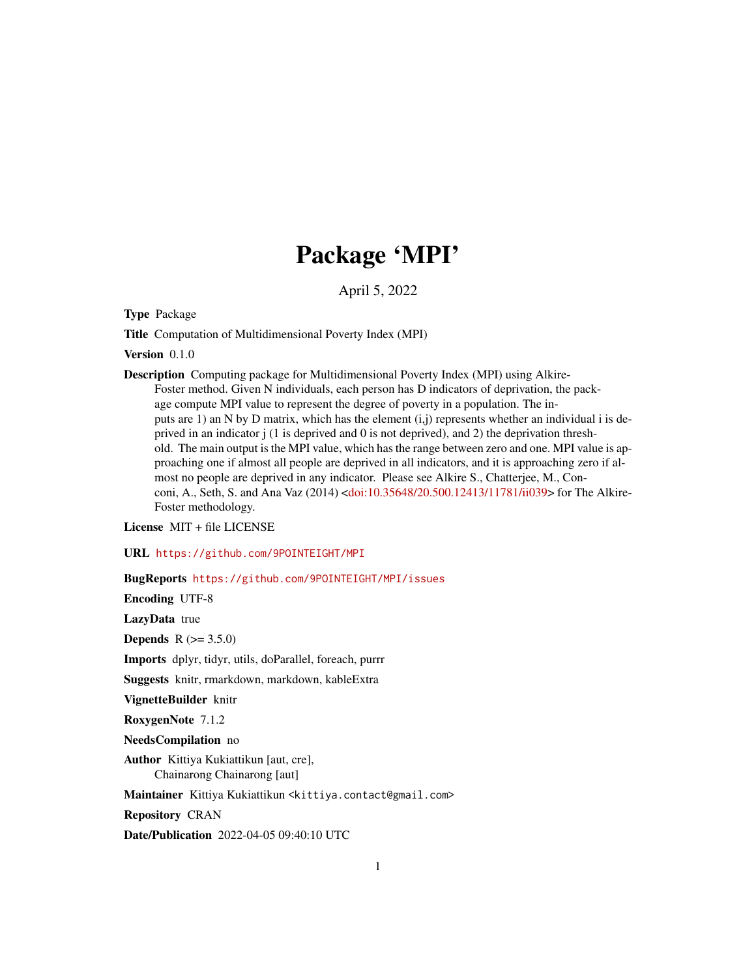## Package 'MPI'

April 5, 2022

Type Package

Title Computation of Multidimensional Poverty Index (MPI)

Version 0.1.0

Description Computing package for Multidimensional Poverty Index (MPI) using Alkire-Foster method. Given N individuals, each person has D indicators of deprivation, the package compute MPI value to represent the degree of poverty in a population. The inputs are 1) an N by D matrix, which has the element  $(i,j)$  represents whether an individual i is deprived in an indicator j (1 is deprived and 0 is not deprived), and 2) the deprivation threshold. The main output is the MPI value, which has the range between zero and one. MPI value is approaching one if almost all people are deprived in all indicators, and it is approaching zero if almost no people are deprived in any indicator. Please see Alkire S., Chatterjee, M., Conconi, A., Seth, S. and Ana Vaz (2014) [<doi:10.35648/20.500.12413/11781/ii039>](https://doi.org/10.35648/20.500.12413/11781/ii039) for The Alkire-Foster methodology.

License MIT + file LICENSE

URL <https://github.com/9POINTEIGHT/MPI>

BugReports <https://github.com/9POINTEIGHT/MPI/issues>

Encoding UTF-8

LazyData true

**Depends**  $R (= 3.5.0)$ 

Imports dplyr, tidyr, utils, doParallel, foreach, purrr

Suggests knitr, rmarkdown, markdown, kableExtra

VignetteBuilder knitr

RoxygenNote 7.1.2

NeedsCompilation no

Author Kittiya Kukiattikun [aut, cre], Chainarong Chainarong [aut]

Maintainer Kittiya Kukiattikun <kittiya.contact@gmail.com>

Repository CRAN

Date/Publication 2022-04-05 09:40:10 UTC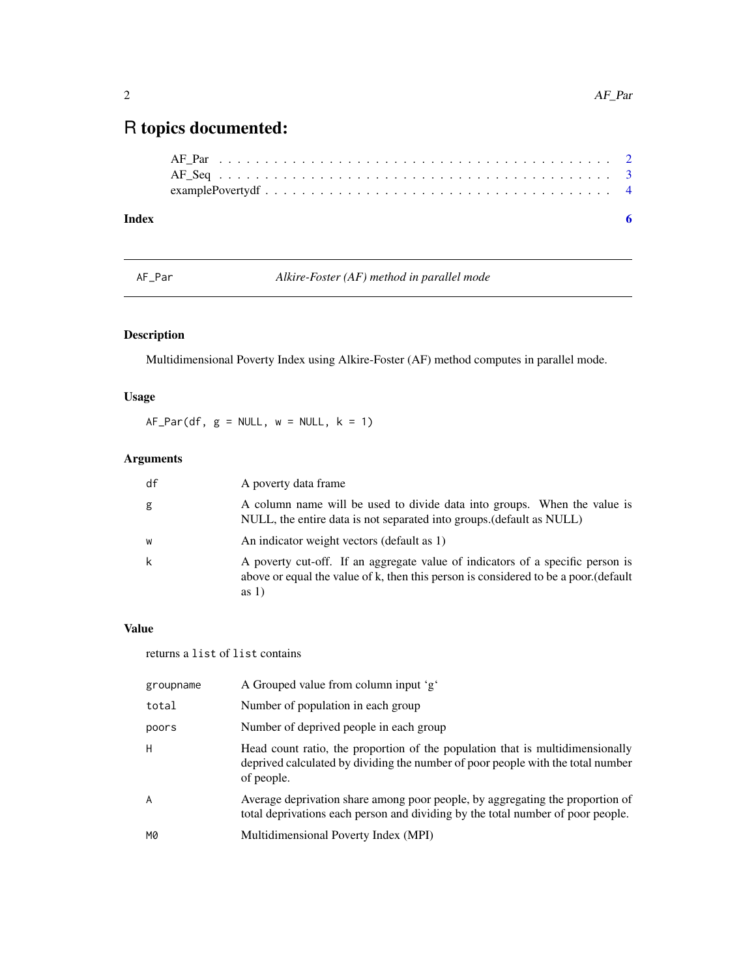## <span id="page-1-0"></span>R topics documented:

| Index |  |
|-------|--|
|       |  |
|       |  |
|       |  |

AF\_Par *Alkire-Foster (AF) method in parallel mode*

### Description

Multidimensional Poverty Index using Alkire-Foster (AF) method computes in parallel mode.

#### Usage

 $AF_Par(df, g = NULL, w = NULL, k = 1)$ 

#### Arguments

| df | A poverty data frame                                                                                                                                                             |
|----|----------------------------------------------------------------------------------------------------------------------------------------------------------------------------------|
| g  | A column name will be used to divide data into groups. When the value is<br>NULL, the entire data is not separated into groups. (default as NULL)                                |
| W  | An indicator weight vectors (default as 1)                                                                                                                                       |
| k  | A poverty cut-off. If an aggregate value of indicators of a specific person is<br>above or equal the value of k, then this person is considered to be a poor.(default<br>as $1)$ |

#### Value

returns a list of list contains

| groupname | A Grouped value from column input 'g'                                                                                                                                          |
|-----------|--------------------------------------------------------------------------------------------------------------------------------------------------------------------------------|
| total     | Number of population in each group                                                                                                                                             |
| poors     | Number of deprived people in each group                                                                                                                                        |
| Н         | Head count ratio, the proportion of the population that is multidimensionally<br>deprived calculated by dividing the number of poor people with the total number<br>of people. |
| A         | Average deprivation share among poor people, by aggregating the proportion of<br>total deprivations each person and dividing by the total number of poor people.               |
| M0        | Multidimensional Poverty Index (MPI)                                                                                                                                           |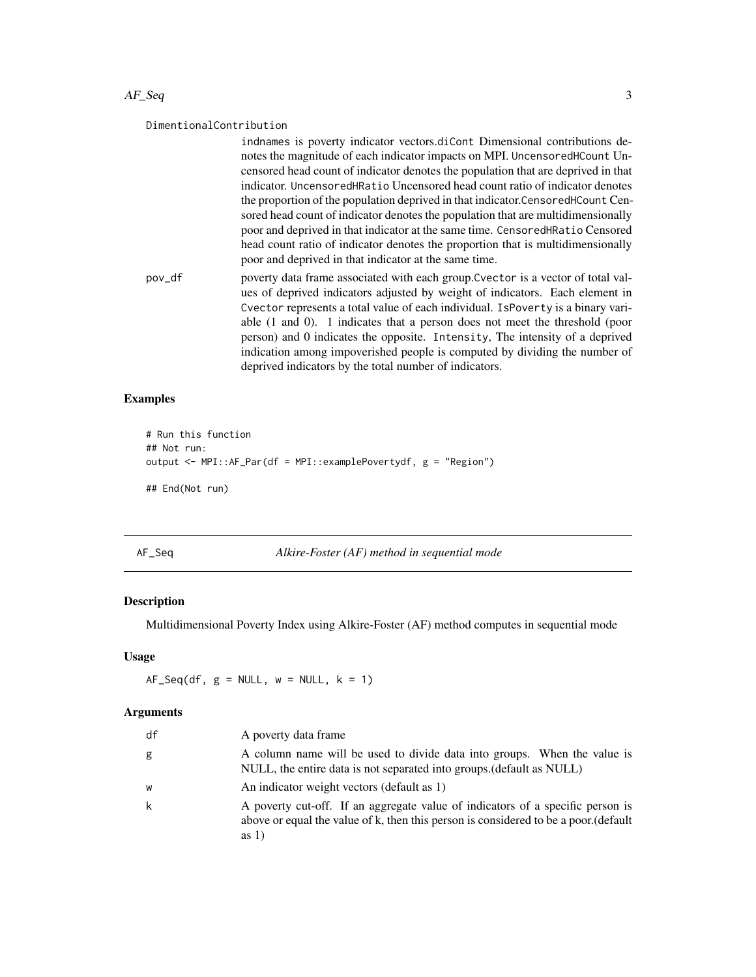#### <span id="page-2-0"></span> $AF\_Seq$  3

#### DimentionalContribution

indnames is poverty indicator vectors.diCont Dimensional contributions denotes the magnitude of each indicator impacts on MPI. UncensoredHCount Uncensored head count of indicator denotes the population that are deprived in that indicator. UncensoredHRatio Uncensored head count ratio of indicator denotes the proportion of the population deprived in that indicator.CensoredHCount Censored head count of indicator denotes the population that are multidimensionally poor and deprived in that indicator at the same time. CensoredHRatio Censored head count ratio of indicator denotes the proportion that is multidimensionally poor and deprived in that indicator at the same time.

pov\_df poverty data frame associated with each group.Cvector is a vector of total values of deprived indicators adjusted by weight of indicators. Each element in Cvector represents a total value of each individual. IsPoverty is a binary variable (1 and 0). 1 indicates that a person does not meet the threshold (poor person) and 0 indicates the opposite. Intensity, The intensity of a deprived indication among impoverished people is computed by dividing the number of deprived indicators by the total number of indicators.

#### Examples

```
# Run this function
## Not run:
output <- MPI::AF_Par(df = MPI::examplePovertydf, g = "Region")
## End(Not run)
```
AF\_Seq *Alkire-Foster (AF) method in sequential mode*

#### Description

Multidimensional Poverty Index using Alkire-Foster (AF) method computes in sequential mode

#### Usage

 $AF_Seq(df, g = NULL, w = NULL, k = 1)$ 

#### Arguments

| df | A poverty data frame                                                                                                                                                              |
|----|-----------------------------------------------------------------------------------------------------------------------------------------------------------------------------------|
| g  | A column name will be used to divide data into groups. When the value is<br>NULL, the entire data is not separated into groups. (default as NULL)                                 |
| W  | An indicator weight vectors (default as 1)                                                                                                                                        |
| k  | A poverty cut-off. If an aggregate value of indicators of a specific person is<br>above or equal the value of k, then this person is considered to be a poor. (default<br>as $1)$ |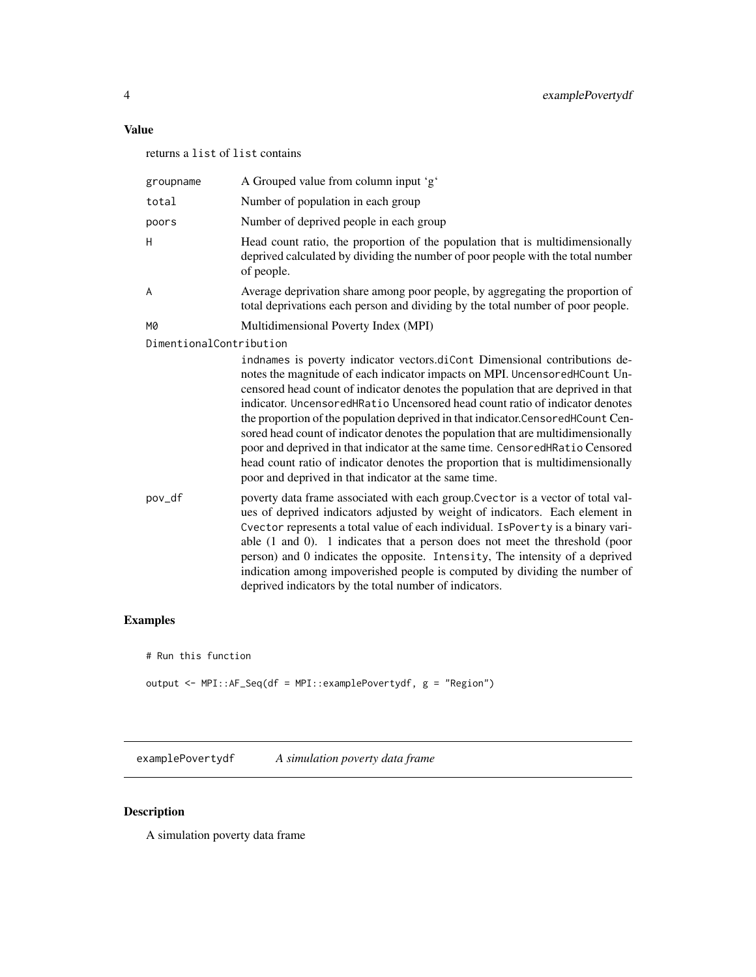#### <span id="page-3-0"></span>Value

returns a list of list contains

| groupname               | A Grouped value from column input 'g'                                                                                                                                                                                                                                                                                                                                                                                                                                                                                                                                                                                                                                                                                              |
|-------------------------|------------------------------------------------------------------------------------------------------------------------------------------------------------------------------------------------------------------------------------------------------------------------------------------------------------------------------------------------------------------------------------------------------------------------------------------------------------------------------------------------------------------------------------------------------------------------------------------------------------------------------------------------------------------------------------------------------------------------------------|
| total                   | Number of population in each group                                                                                                                                                                                                                                                                                                                                                                                                                                                                                                                                                                                                                                                                                                 |
| poors                   | Number of deprived people in each group                                                                                                                                                                                                                                                                                                                                                                                                                                                                                                                                                                                                                                                                                            |
| H                       | Head count ratio, the proportion of the population that is multidimensionally<br>deprived calculated by dividing the number of poor people with the total number<br>of people.                                                                                                                                                                                                                                                                                                                                                                                                                                                                                                                                                     |
| A                       | Average deprivation share among poor people, by aggregating the proportion of<br>total deprivations each person and dividing by the total number of poor people.                                                                                                                                                                                                                                                                                                                                                                                                                                                                                                                                                                   |
| M0                      | Multidimensional Poverty Index (MPI)                                                                                                                                                                                                                                                                                                                                                                                                                                                                                                                                                                                                                                                                                               |
| DimentionalContribution |                                                                                                                                                                                                                                                                                                                                                                                                                                                                                                                                                                                                                                                                                                                                    |
|                         | indnames is poverty indicator vectors.diCont Dimensional contributions de-<br>notes the magnitude of each indicator impacts on MPI. UncensoredHCount Un-<br>censored head count of indicator denotes the population that are deprived in that<br>indicator. Uncensored HRatio Uncensored head count ratio of indicator denotes<br>the proportion of the population deprived in that indicator.CensoredHCount Cen-<br>sored head count of indicator denotes the population that are multidimensionally<br>poor and deprived in that indicator at the same time. CensoredHRatio Censored<br>head count ratio of indicator denotes the proportion that is multidimensionally<br>poor and deprived in that indicator at the same time. |
| pov_df                  | poverty data frame associated with each group. Cvector is a vector of total val-<br>ues of deprived indicators adjusted by weight of indicators. Each element in<br>Cvector represents a total value of each individual. IsPoverty is a binary vari-<br>able (1 and 0). 1 indicates that a person does not meet the threshold (poor<br>person) and 0 indicates the opposite. Intensity, The intensity of a deprived<br>indication among impoverished people is computed by dividing the number of<br>deprived indicators by the total number of indicators.                                                                                                                                                                        |

#### Examples

# Run this function

```
output <- MPI::AF_Seq(df = MPI::examplePovertydf, g = "Region")
```
examplePovertydf *A simulation poverty data frame*

### Description

A simulation poverty data frame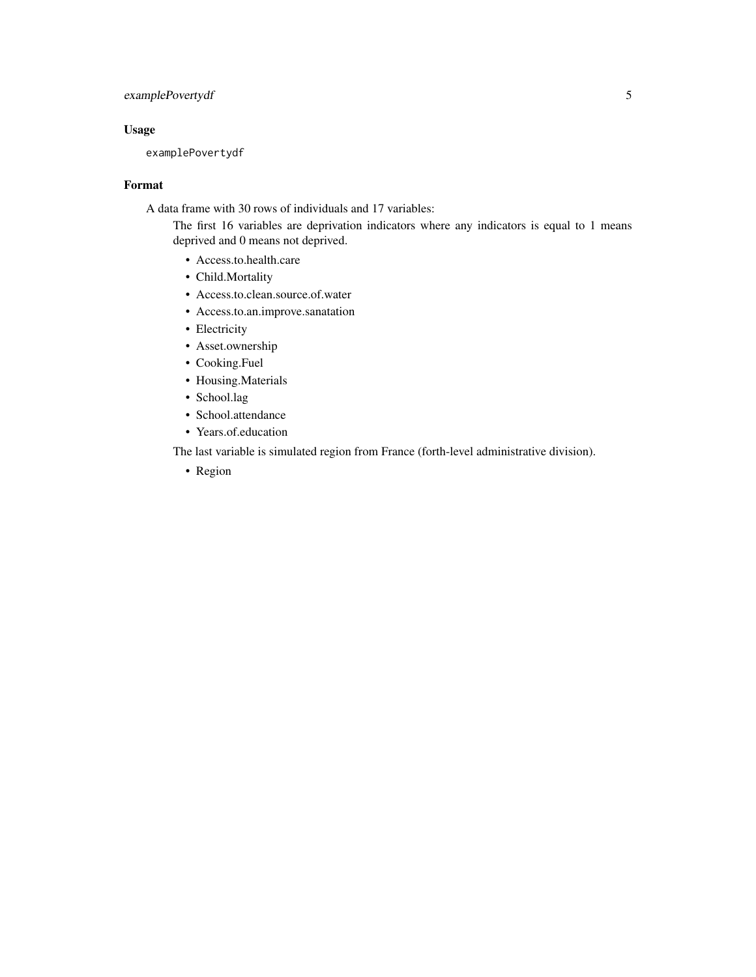#### examplePovertydf 5

#### Usage

examplePovertydf

#### Format

A data frame with 30 rows of individuals and 17 variables:

The first 16 variables are deprivation indicators where any indicators is equal to 1 means deprived and 0 means not deprived.

- Access.to.health.care
- Child.Mortality
- Access.to.clean.source.of.water
- Access.to.an.improve.sanatation
- Electricity
- Asset.ownership
- Cooking.Fuel
- Housing.Materials
- School.lag
- School.attendance
- Years.of.education

The last variable is simulated region from France (forth-level administrative division).

• Region